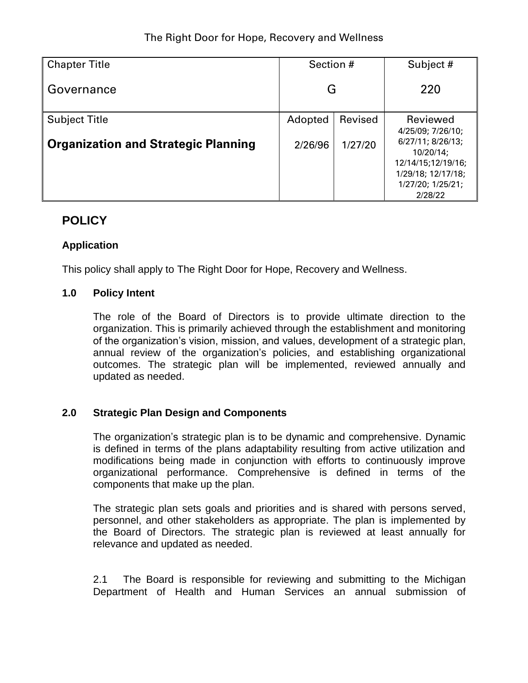| <b>Chapter Title</b>                       | Section # |         | Subject #                                                                                                                          |  |
|--------------------------------------------|-----------|---------|------------------------------------------------------------------------------------------------------------------------------------|--|
| Governance                                 | G         |         | 220                                                                                                                                |  |
| <b>Subject Title</b>                       | Adopted   | Revised | Reviewed                                                                                                                           |  |
| <b>Organization and Strategic Planning</b> | 2/26/96   | 1/27/20 | 4/25/09; 7/26/10;<br>6/27/11; 8/26/13;<br>$10/20/14$ ;<br>12/14/15;12/19/16;<br>1/29/18; 12/17/18;<br>1/27/20; 1/25/21;<br>2/28/22 |  |

# **POLICY**

## **Application**

This policy shall apply to The Right Door for Hope, Recovery and Wellness.

### **1.0 Policy Intent**

The role of the Board of Directors is to provide ultimate direction to the organization. This is primarily achieved through the establishment and monitoring of the organization's vision, mission, and values, development of a strategic plan, annual review of the organization's policies, and establishing organizational outcomes. The strategic plan will be implemented, reviewed annually and updated as needed.

## **2.0 Strategic Plan Design and Components**

The organization's strategic plan is to be dynamic and comprehensive. Dynamic is defined in terms of the plans adaptability resulting from active utilization and modifications being made in conjunction with efforts to continuously improve organizational performance. Comprehensive is defined in terms of the components that make up the plan.

The strategic plan sets goals and priorities and is shared with persons served, personnel, and other stakeholders as appropriate. The plan is implemented by the Board of Directors. The strategic plan is reviewed at least annually for relevance and updated as needed.

2.1 The Board is responsible for reviewing and submitting to the Michigan Department of Health and Human Services an annual submission of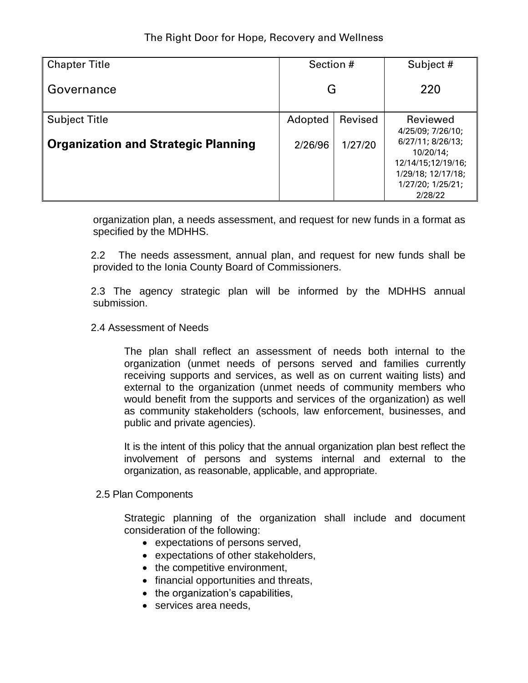| <b>Chapter Title</b>                       | Section # |         | Subject #                                                                                                                          |  |
|--------------------------------------------|-----------|---------|------------------------------------------------------------------------------------------------------------------------------------|--|
| Governance                                 | G         |         | 220                                                                                                                                |  |
| <b>Subject Title</b>                       | Adopted   | Revised | Reviewed                                                                                                                           |  |
| <b>Organization and Strategic Planning</b> | 2/26/96   | 1/27/20 | 4/25/09; 7/26/10;<br>6/27/11; 8/26/13;<br>$10/20/14$ ;<br>12/14/15;12/19/16;<br>1/29/18; 12/17/18;<br>1/27/20; 1/25/21;<br>2/28/22 |  |

organization plan, a needs assessment, and request for new funds in a format as specified by the MDHHS.

 2.2 The needs assessment, annual plan, and request for new funds shall be provided to the Ionia County Board of Commissioners.

 2.3 The agency strategic plan will be informed by the MDHHS annual submission.

### 2.4 Assessment of Needs

The plan shall reflect an assessment of needs both internal to the organization (unmet needs of persons served and families currently receiving supports and services, as well as on current waiting lists) and external to the organization (unmet needs of community members who would benefit from the supports and services of the organization) as well as community stakeholders (schools, law enforcement, businesses, and public and private agencies).

It is the intent of this policy that the annual organization plan best reflect the involvement of persons and systems internal and external to the organization, as reasonable, applicable, and appropriate.

#### 2.5 Plan Components

Strategic planning of the organization shall include and document consideration of the following:

- expectations of persons served,
- expectations of other stakeholders,
- the competitive environment,
- financial opportunities and threats,
- the organization's capabilities,
- services area needs.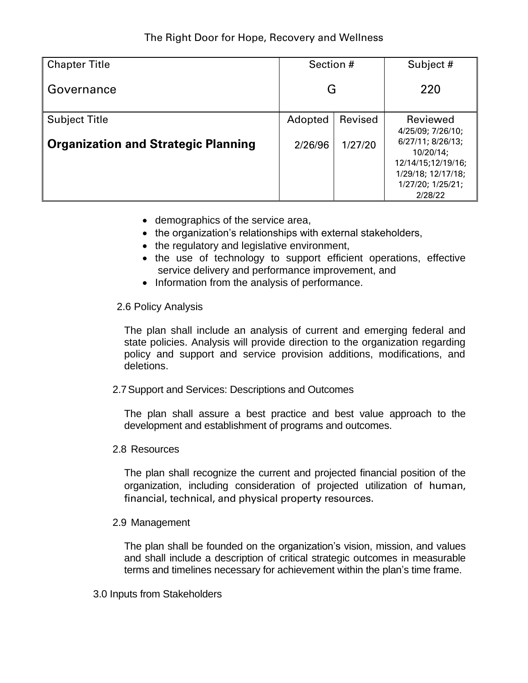| <b>Chapter Title</b>                       | Section # |         | Subject #                                                                                                                       |  |
|--------------------------------------------|-----------|---------|---------------------------------------------------------------------------------------------------------------------------------|--|
| Governance                                 | G         |         | 220                                                                                                                             |  |
| <b>Subject Title</b>                       | Adopted   | Revised | Reviewed                                                                                                                        |  |
| <b>Organization and Strategic Planning</b> | 2/26/96   | 1/27/20 | 4/25/09; 7/26/10;<br>6/27/11; 8/26/13;<br>10/20/14;<br>12/14/15;12/19/16;<br>1/29/18; 12/17/18;<br>1/27/20; 1/25/21;<br>2/28/22 |  |

- demographics of the service area,
- the organization's relationships with external stakeholders,
- the regulatory and legislative environment,
- the use of technology to support efficient operations, effective service delivery and performance improvement, and
- Information from the analysis of performance.

### 2.6 Policy Analysis

The plan shall include an analysis of current and emerging federal and state policies. Analysis will provide direction to the organization regarding policy and support and service provision additions, modifications, and deletions.

2.7Support and Services: Descriptions and Outcomes

The plan shall assure a best practice and best value approach to the development and establishment of programs and outcomes.

2.8 Resources

The plan shall recognize the current and projected financial position of the organization, including consideration of projected utilization of human, financial, technical, and physical property resources.

#### 2.9 Management

The plan shall be founded on the organization's vision, mission, and values and shall include a description of critical strategic outcomes in measurable terms and timelines necessary for achievement within the plan's time frame.

3.0 Inputs from Stakeholders